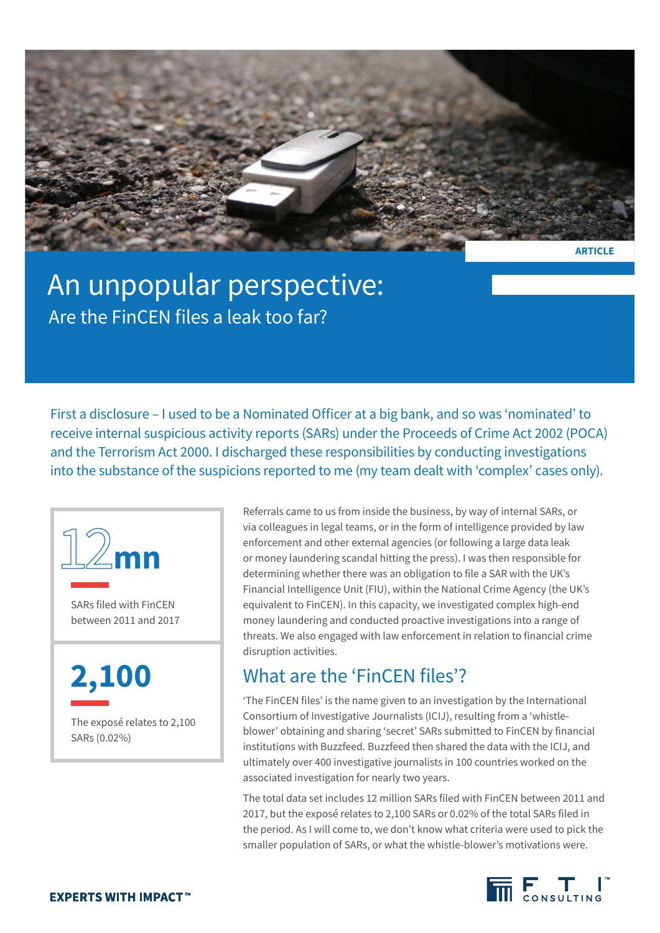

**ARTICLE**

## An unpopular perspective: Are the FinCEN files a leak too far?

First a disclosure – I used to be a Nominated Officer at a big bank, and so was 'nominated' to receive internal suspicious activity reports (SARs) under the Proceeds of Crime Act 2002 (POCA) and the Terrorism Act 2000. I discharged these responsibilities by conducting investigations into the substance of the suspicions reported to me (my team dealt with 'complex' cases only).



SARs filed with FinCEN between 2011 and 2017

**2,100**

The exposé relates to 2,100 SARs (0.02%)

Referrals came to us from inside the business, by way of internal SARs, or via colleagues in legal teams, or in the form of intelligence provided by law enforcement and other external agencies (or following a large data leak or money laundering scandal hitting the press). I was then responsible for determining whether there was an obligation to file a SAR with the UK's Financial Intelligence Unit (FIU), within the National Crime Agency (the UK's equivalent to FinCEN). In this capacity, we investigated complex high-end money laundering and conducted proactive investigations into a range of threats. We also engaged with law enforcement in relation to financial crime disruption activities.

## What are the 'FinCEN files'?

'The FinCEN files' is the name given to an investigation by the International Consortium of Investigative Journalists (ICIJ), resulting from a 'whistleblower' obtaining and sharing 'secret' SARs submitted to FinCEN by financial institutions with Buzzfeed. Buzzfeed then shared the data with the ICIJ, and ultimately over 400 investigative journalists in 100 countries worked on the associated investigation for nearly two years.

The total data set includes 12 million SARs filed with FinCEN between 2011 and 2017, but the exposé relates to 2,100 SARs or 0.02% of the total SARs filed in the period. As I will come to, we don't know what criteria were used to pick the smaller population of SARs, or what the whistle-blower's motivations were.

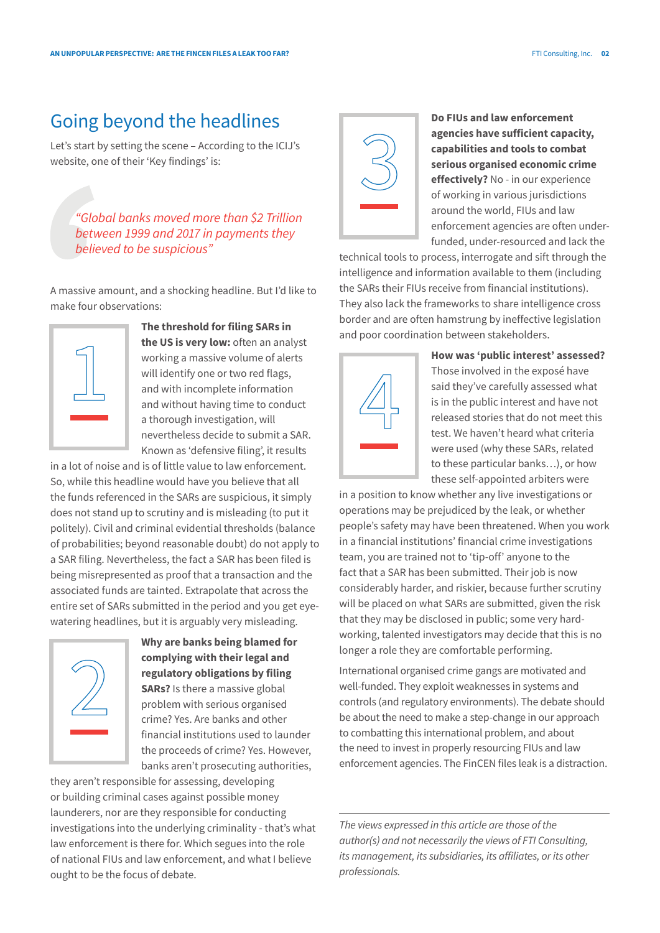## Going beyond the headlines

Let's start by setting the scene – According to the ICIJ's website, one of their 'Key findings' is:

*"Global banks moved more than \$2 Trillion between 1999 and 2017 in payments they believed to be suspicious"*

A massive amount, and a shocking headline. But I'd like to make four observations:



**The threshold for filing SARs in the US is very low:** often an analyst working a massive volume of alerts will identify one or two red flags, and with incomplete information and without having time to conduct a thorough investigation, will nevertheless decide to submit a SAR. Known as 'defensive filing', it results

in a lot of noise and is of little value to law enforcement. So, while this headline would have you believe that all the funds referenced in the SARs are suspicious, it simply does not stand up to scrutiny and is misleading (to put it politely). Civil and criminal evidential thresholds (balance of probabilities; beyond reasonable doubt) do not apply to a SAR filing. Nevertheless, the fact a SAR has been filed is being misrepresented as proof that a transaction and the associated funds are tainted. Extrapolate that across the entire set of SARs submitted in the period and you get eyewatering headlines, but it is arguably very misleading.



**Why are banks being blamed for complying with their legal and regulatory obligations by filing SARs?** Is there a massive global problem with serious organised crime? Yes. Are banks and other financial institutions used to launder the proceeds of crime? Yes. However, banks aren't prosecuting authorities,

they aren't responsible for assessing, developing or building criminal cases against possible money launderers, nor are they responsible for conducting investigations into the underlying criminality - that's what law enforcement is there for. Which segues into the role of national FIUs and law enforcement, and what I believe ought to be the focus of debate.



**Do FIUs and law enforcement agencies have sufficient capacity, capabilities and tools to combat serious organised economic crime effectively?** No - in our experience of working in various jurisdictions around the world, FIUs and law enforcement agencies are often underfunded, under-resourced and lack the

technical tools to process, interrogate and sift through the intelligence and information available to them (including the SARs their FIUs receive from financial institutions). They also lack the frameworks to share intelligence cross border and are often hamstrung by ineffective legislation and poor coordination between stakeholders.



**How was 'public interest' assessed?**  Those involved in the exposé have said they've carefully assessed what is in the public interest and have not released stories that do not meet this test. We haven't heard what criteria were used (why these SARs, related to these particular banks…), or how these self-appointed arbiters were

in a position to know whether any live investigations or operations may be prejudiced by the leak, or whether people's safety may have been threatened. When you work in a financial institutions' financial crime investigations team, you are trained not to 'tip-off' anyone to the fact that a SAR has been submitted. Their job is now considerably harder, and riskier, because further scrutiny will be placed on what SARs are submitted, given the risk that they may be disclosed in public; some very hardworking, talented investigators may decide that this is no longer a role they are comfortable performing.

International organised crime gangs are motivated and well-funded. They exploit weaknesses in systems and controls (and regulatory environments). The debate should be about the need to make a step-change in our approach to combatting this international problem, and about the need to invest in properly resourcing FIUs and law enforcement agencies. The FinCEN files leak is a distraction.

*The views expressed in this article are those of the author(s) and not necessarily the views of FTI Consulting, its management, its subsidiaries, its affiliates, or its other professionals.*